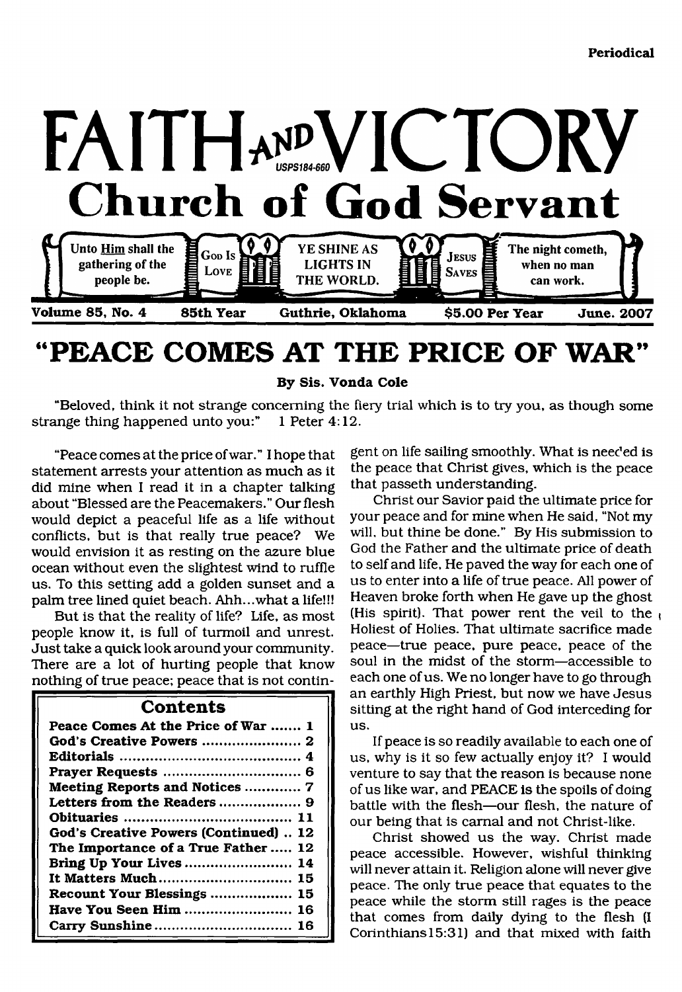

# **"PEACE COMES AT THE PRICE OF WAR"**

**By Sis. Vonda Cole**

"Beloved, think it not strange concerning the fiery trial which is to try you, as though some strange thing happened unto you:" 1 Peter 4:12.

"Peace comes at the price of war." I hope that statement arrests your attention as much as it did mine when I read it in a chapter talking about "Blessed are the Peacemakers." Our flesh would depict a peaceful life as a life without conflicts, but is that really true peace? We would envision it as resting on the azure blue ocean without even the slightest wind to ruffle us. To this setting add a golden sunset and a palm tree lined quiet beach. Ahh...what a life!!!

But is that the reality of life? Life, as most people know it, is full of turmoil and unrest. Just take a quick look around your community. There are a lot of hurting people that know nothing of true peace; peace that is not contin-

#### **Contents**

| Peace Comes At the Price of War  1    |
|---------------------------------------|
|                                       |
|                                       |
|                                       |
| Meeting Reports and Notices  7        |
| Letters from the Readers  9           |
|                                       |
| God's Creative Powers (Continued)  12 |
| The Importance of a True Father  12   |
| Bring Up Your Lives  14               |
| It Matters Much 15                    |
| Recount Your Blessings  15            |
| Have You Seen Him  16                 |
| Carry Sunshine 16                     |

gent on life sailing smoothly. What is needed is the peace that Christ gives, which is the peace that passeth understanding.

Christ our Savior paid the ultimate price for your peace and for mine when He said, "Not my will, but thine be done." By His submission to God the Father and the ultimate price of death to self and life, He paved the way for each one of us to enter into a life of true peace. All power of Heaven broke forth when He gave up the ghost (His spirit). That power rent the veil to the Holiest of Holies. That ultimate sacrifice made peace—true peace, pure peace, peace of the soul in the midst of the storm—accessible to each one of us. We no longer have to go through an earthly High Priest, but now we have Jesus sitting at the right hand of God interceding for us.

If peace is so readily available to each one of us, why is it so few actually enjoy it? I would venture to say that the reason is because none of us like war, and PEACE is the spoils of doing battle with the flesh—our flesh, the nature of our being that is carnal and not Christ-like.

Christ showed us the way. Christ made peace accessible. However, wishful thinking will never attain it. Religion alone will never give peace. The only true peace that equates to the peace while the storm still rages is the peace that comes from daily dying to the flesh (I Corinthians 15:31) and that mixed with faith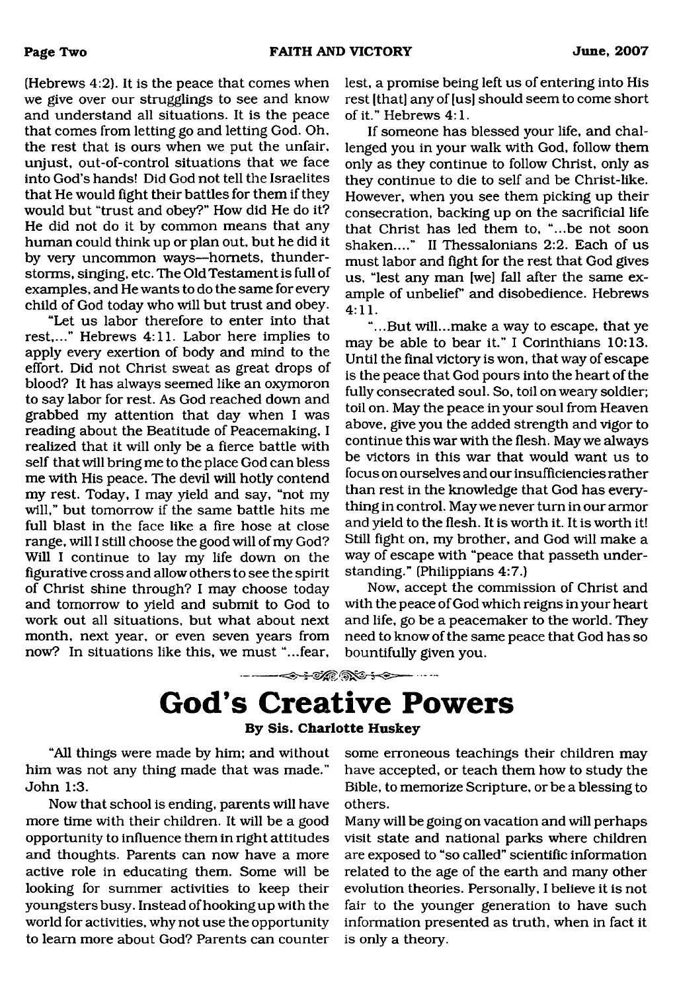(Hebrews 4:2). It is the peace that comes when we give over our strugglings to see and know and understand all situations. It is the peace that comes from letting go and letting God. Oh, the rest that is ours when we put the unfair, unjust, out-of-control situations that we face into God's hands! Did God not tell the Israelites that He would fight their battles for them if they would but "trust and obey?" How did He do it? He did not do it by common means that any human could think up or plan out, but he did it by very uncommon ways—hornets, thunderstorms, singing, etc. The Old Testament is full of examples, and He wants to do the same for every child of God today who will but trust and obey.

"Let us labor therefore to enter into that rest,..." Hebrews 4:11. Labor here implies to apply every exertion of body and mind to the effort. Did not Christ sweat as great drops of blood? It has always seemed like an oxymoron to say labor for rest. As God reached down and grabbed my attention that day when I was reading about the Beatitude of Peacemaking, I realized that it will only be a fierce battle with self that will bring me to the place God can bless me with His peace. The devil will hotly contend my rest. Today, I may yield and say, "not my will," but tomorrow if the same battle hits me full blast in the face like a fire hose at close range, will I still choose the good will of my God? Will I continue to lay my life down on the figurative cross and allow others to see the spirit of Christ shine through? I may choose today and tomorrow to yield and submit to God to work out all situations, but what about next month, next year, or even seven years from now? In situations like this, we must "...fear,

lest, a promise being left us of entering into His rest [that] any of [us] should seem to come short of it." Hebrews 4:1.

If someone has blessed your life, and challenged you in your walk with God, follow them only as they continue to follow Christ, only as they continue to die to self and be Christ-like. However, when you see them picking up their consecration, backing up on the sacrificial life that Christ has led them to, "...be not soon shaken...." II Thessalonians 2:2. Each of us must labor and fight for the rest that God gives us, "lest any man [we] fall after the same example of unbelief' and disobedience. Hebrews 4:11.

"...But will...make a way to escape, that ye may be able to bear it." I Corinthians 10:13. Until the final victory is won, that way of escape is the peace that God pours into the heart of the fully consecrated soul. So, toil on weary soldier; toil on. May the peace in your soul from Heaven above, give you the added strength and vigor to continue this war with the flesh. May we always be victors in this war that would want us to focus on ourselves and our insufficiencies rather than rest in the knowledge that God has everything in control. May we never turn in our armor and yield to the flesh. It is worth it. It is worth it! Still fight on, my brother, and God will make a way of escape with "peace that passeth understanding." (Philippians 4:7.)

Now, accept the commission of Christ and with the peace of God which reigns in your heart and life, go be a peacemaker to the world. They need to know of the same peace that God has so bountifully given you.

**God's Creative Powers**

#### **By Sis. Charlotte Huskey**

"All things were made by him; and without him was not any thing made that was made." John 1:3.

Now that school is ending, parents will have more time with their children. It will be a good opportunity to influence them in right attitudes and thoughts. Parents can now have a more active role in educating them. Some will be looking for summer activities to keep their youngsters busy. Instead of hooking up with the world for activities, why not use the opportunity to learn more about God? Parents can counter

some erroneous teachings their children may have accepted, or teach them how to study the Bible, to memorize Scripture, or be a blessing to others.

Many will be going on vacation and will perhaps visit state and national parks where children are exposed to "so called" scientific information related to the age of the earth and many other evolution theories. Personally, I believe it is not fair to the younger generation to have such information presented as truth, when in fact it is only a theory.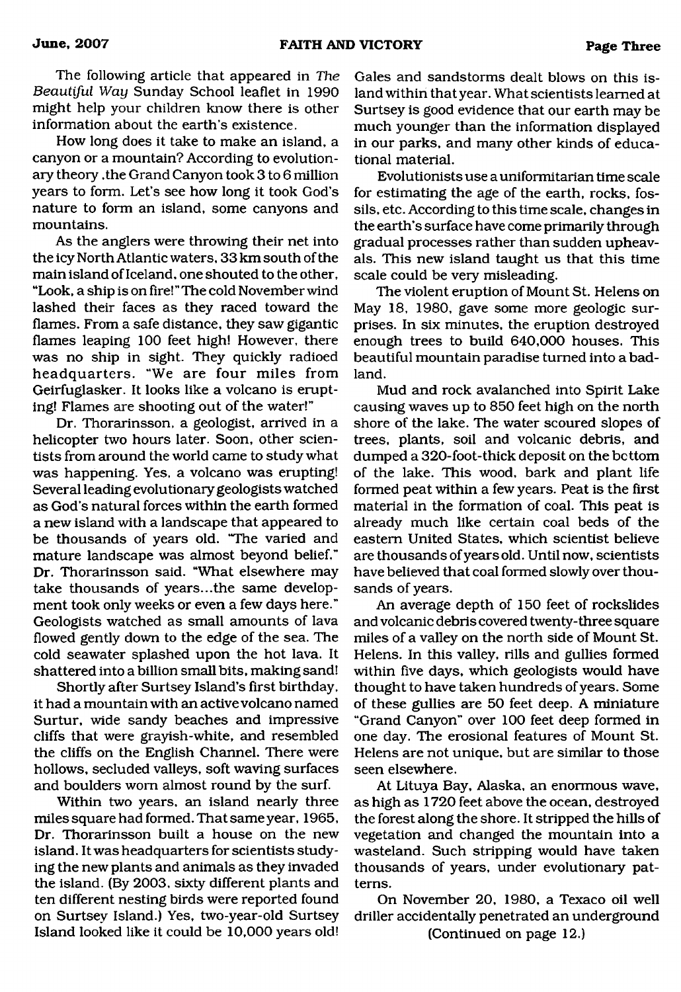The following article that appeared in *The Beautiful Way* Sunday School leaflet in 1990 might help your children know there is other information about the earth's existence.

How long does it take to make an island, a canyon or a mountain? According to evolutionary theory ,the Grand Canyon took 3 to 6 million years to form. Let's see how long it took God's nature to form an island, some canyons and mountains.

As the anglers were throwing their net into the icy North Atlantic waters, 33 km south of the main island of Iceland, one shouted to the other, "Look, a ship is on fire! " The cold November wind lashed their faces as they raced toward the flames. From a safe distance, they saw gigantic flames leaping 100 feet high! However, there was no ship in sight. They quickly radioed headquarters. "We are four miles from Geirfuglasker. It looks like a volcano is erupting! Flames are shooting out of the water!"

Dr. Thorarinsson, a geologist, arrived in a helicopter two hours later. Soon, other scientists from around the world came to study what was happening. Yes, a volcano was erupting! Several leading evolutionary geologists watched as God's natural forces within the earth formed a new island with a landscape that appeared to be thousands of years old. "The varied and mature landscape was almost beyond belief," Dr. Thorarinsson said. "What elsewhere may take thousands of years...the same development took only weeks or even a few days here." Geologists watched as small amounts of lava flowed gently down to the edge of the sea. The cold seawater splashed upon the hot lava. It shattered into a billion small bits, making sand!

Shortly after Surtsey Island's first birthday, it had a mountain with an active volcano named Surtur, wide sandy beaches and impressive cliffs that were grayish-white, and resembled the cliffs on the English Channel. There were hollows, secluded valleys, soft waving surfaces and boulders worn almost round by the surf.

Within two years, an island nearly three miles square had formed. That same year, 1965, Dr. Thorarinsson built a house on the new island. It was headquarters for scientists studying the new plants and animals as they invaded the island. (By 2003, sixty different plants and ten different nesting birds were reported found on Surtsey Island.) Yes, two-year-old Surtsey Island looked like it could be 10,000 years old!

Gales and sandstorms dealt blows on this island within that year. What scientists learned at Surtsey is good evidence that our earth may be much younger than the information displayed in our parks, and many other kinds of educational material.

Evolutionists use a uniformitarian time scale for estimating the age of the earth, rocks, fossils, etc. According to this time scale, changes in the earth's surface have come primarily through gradual processes rather than sudden upheavals. This new island taught us that this time scale could be very misleading.

The violent eruption of Mount St. Helens on May 18, 1980, gave some more geologic surprises. In six minutes, the eruption destroyed enough trees to build 640,000 houses. This beautiful mountain paradise turned into a badland.

Mud and rock avalanched into Spirit Lake causing waves up to 850 feet high on the north shore of the lake. The water scoured slopes of trees, plants, soil and volcanic debris, and dumped a 320-foot-thick deposit on the bottom of the lake. This wood, bark and plant life formed peat within a few years. Peat is the first material in the formation of coal. This peat is already much like certain coal beds of the eastern United States, which scientist believe are thousands of years old. Until now, scientists have believed that coal formed slowly over thousands of years.

An average depth of 150 feet of rockslides and volcanic debris covered twenty-three square miles of a valley on the north side of Mount St. Helens. In this valley, rills and gullies formed within five days, which geologists would have thought to have taken hundreds of years. Some of these gullies are 50 feet deep. A miniature "Grand Canyon" over 100 feet deep formed in one day. The erosional features of Mount St. Helens are not unique, but are similar to those seen elsewhere.

At Lituya Bay, Alaska, an enormous wave, as high as 1720 feet above the ocean, destroyed the forest along the shore. It stripped the hills of vegetation and changed the mountain into a wasteland. Such stripping would have taken thousands of years, under evolutionary patterns.

On November 20, 1980, a Texaco oil well driller accidentally penetrated an underground

(Continued on page 12.)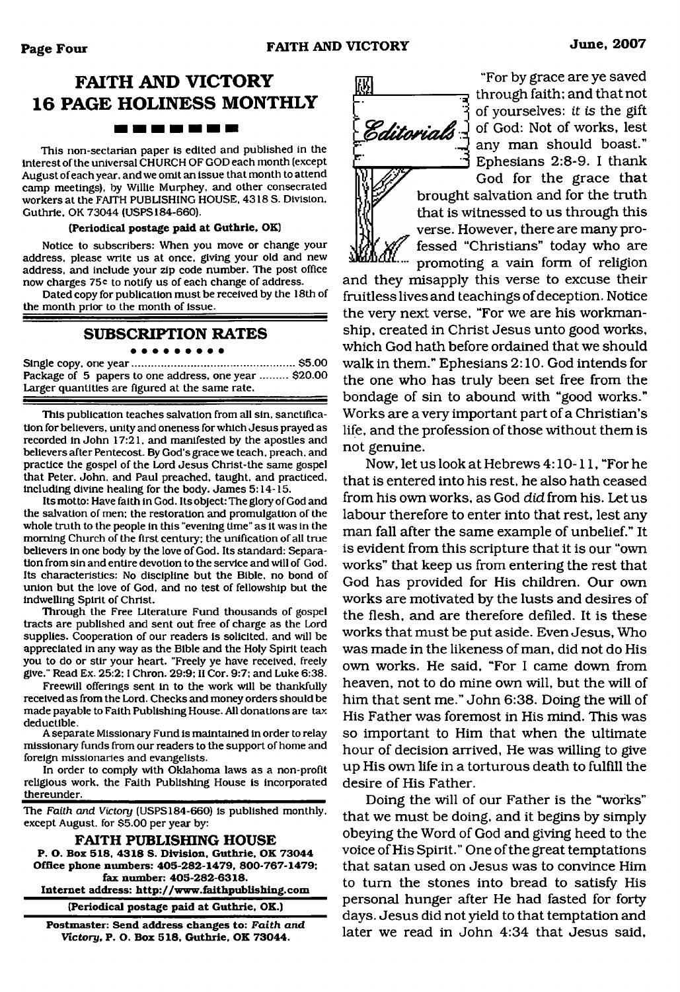### **FAITH AND VICTORY 16 PAGE HOLINESS MONTHLY** <u> 1988 - 1989 - 1989 - 1989 - 1989 - 1988 - 1988 - 1988 - 1988 - 1988 - 1988 - 1988 - 1988 - 1988 - 1988 - 198</u>

This non-sectarian paper is edited and published in the interest of the universal CHURCH OF GOD each month (except August of each year, and we omit an issue that month to attend camp meetings), by Willie Murphey, and other consecrated workers at the FAITH PUBLISHING HOUSE. 4318 S. Division, Guthrie. OK 73044 (USPS184-660).

#### **(Periodical postage paid at Guthrie, OK)**

Notice to subscribers: When you move or change your address, please write us at once, giving your old and new address, and include your zip code number. The post office now charges 75<sup>c</sup> to notify us of each change of address.

Dated copy for publication must be received by the 18th of the month prior to the month of issue.

#### **SUBSCRIPTION RATES**

#### . . . . . . . .

Single copy, one year......................................................\$5.00 Package of 5 papers to one address, one year ......... \$20.00 Larger quantities are figured at the same rate.

This publication teaches salvation from all sin, sanctification for believers, unity and oneness for which Jesus prayed as recorded in John 17:21, and manifested by the apostles and believers after Pentecost. By God's grace we teach, preach, and practice the gospel of the Lord Jesus Christ-the same gospel that Peter. John, and Paul preached, taught, and practiced, including divine healing for the body. James 5:14-15.

Its motto: Have faith in God. Its object: The glory of God and the salvation of men: the restoration and promulgation of the whole truth to the people in this "evening time" as it was in the morning Church of the first century; the unification of all true believers in one body by the love of God. Its standard: Separation from sin and entire devotion to the service and will of God. Its characteristics: No discipline but the Bible, no bond of union but the love of God, and no test of fellowship but the indwelling Spirit of Christ.

Through the Free Literature Fund thousands of gospel tracts are published and sent out free of charge as the Lord supplies. Cooperation of our readers is solicited, and will be appreciated in any way as the Bible and the Holy Spirit teach you to do or stir your heart. "Freely ye have received, freely give." Read Ex. 25:2:1 Chron. 29:9; II Cor. 9:7; and Luke 6:38.

Freewill offerings sent in to the work will be thankfully received as from the Lord. Checks and money orders should be made payable to Faith Publishing House. All donations are tax deductible.

A separate Missionary Fund is maintained in order to relay missionary funds from our readers to the support of home and foreign missionaries and evangelists.

In order to comply with Oklahoma laws as a non-profit religious work, the Faith Publishing House is incorporated thereunder.

The *Faith and Victory* (USPS 184-660) is published monthly, except August, for \$5.00 per year by:

**FAITH PUBLISHING HOUSE P. O. Box 518, 4318 S. Division. Guthrie. OK 73044 Office phone numbers: 405-282-1479, 800-767-1479; fax number: 405-282-6318. Internet address: <http://www.faithpublishing.com> (Periodical postage paid at Guthrie, OK.)**

**Postmaster: Send address changes to:** *Faith and Victory,* **P. O. Box 518, Guthrie. OK 73044.**

*M j£>c&tosia&*

"For by grace are ye saved through faith; and that not of yourselves: *it is* the gift of God: Not of works, lest any man should boast." Ephesians 2:8-9. I thank God for the grace that

brought salvation and for the truth that is witnessed to us through this verse. However, there are many professed "Christians" today who are promoting a vain form of religion

and they misapply this verse to excuse their fruitless lives and teachings of deception. Notice the very next verse, "For we are his workmanship, created in Christ Jesus unto good works, which God hath before ordained that we should walk in them." Ephesians 2:10. God intends for the one who has truly been set free from the bondage of sin to abound with "good works." Works are a very important part of a Christian's life, and the profession of those without them is not genuine.

Now, let us look at Hebrews 4:10-11, "For he that is entered into his rest, he also hath ceased from his own works, as God did from his. Let us labour therefore to enter into that rest, lest any man fall after the same example of unbelief." It is evident from this scripture that it is our "own works" that keep us from entering the rest that God has provided for His children. Our own works are motivated by the lusts and desires of the flesh, and are therefore defiled. It is these works that must be put aside. Even Jesus, Who was made in the likeness of man, did not do His own works. He said, "For I came down from heaven, not to do mine own will, but the will of him that sent me." John 6:38. Doing the will of His Father was foremost in His mind. This was so important to Him that when the ultimate hour of decision arrived, He was willing to give up His own life in a torturous death to fulfill the desire of His Father.

Doing the will of our Father is the "works" that we must be doing, and it begins by simply obeying the Word of God and giving heed to the voice of His Spirit." One of the great temptations that satan used on Jesus was to convince Him to turn the stones into bread to satisfy His personal hunger after He had fasted for forty days. Jesus did not yield to that temptation and later we read in John 4:34 that Jesus said,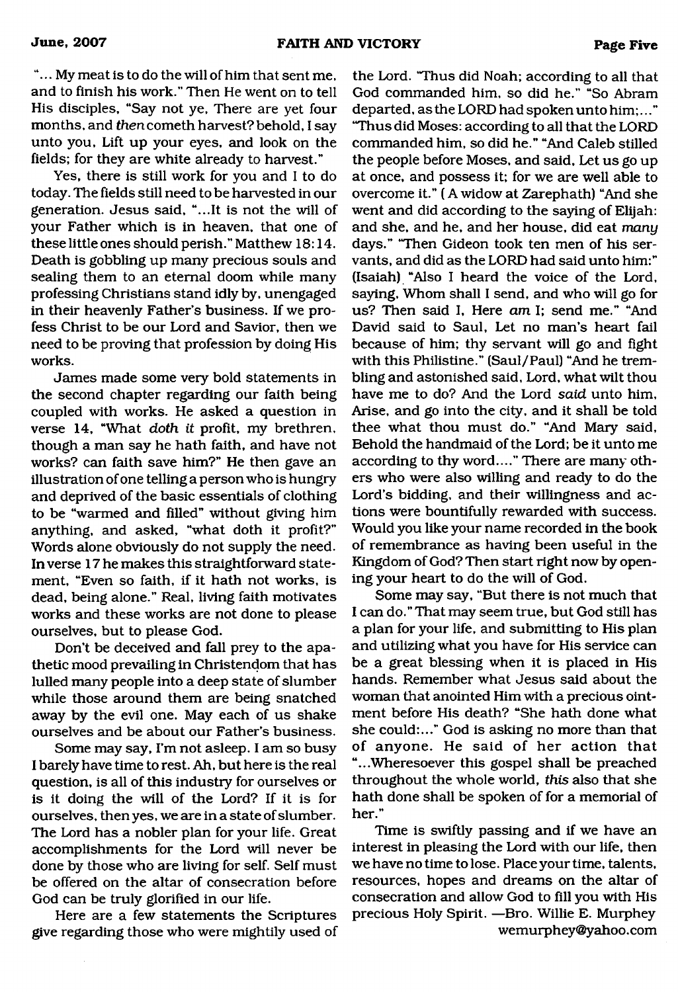"... My meat is to do the will of him that sent me, and to finish his work." Then He went on to tell His disciples, "Say not ye, There are yet four months, and *then*cometh harvest? behold, I say unto you, Lift up your eyes, and look on the fields; for they are white already to harvest."

Yes, there is still work for you and I to do today. The fields still need to be harvested in our generation. Jesus said, "...It is not the will of your Father which is in heaven, that one of these little ones should perish." Matthew 18:14. Death is gobbling up many precious souls and sealing them to an eternal doom while many professing Christians stand idly by, unengaged in their heavenly Father's business. If we profess Christ to be our Lord and Savior, then we need to be proving that profession by doing His works.

James made some very bold statements in the second chapter regarding our faith being coupled with works. He asked a question in verse 14, "What *doth it* profit, my brethren, though a man say he hath faith, and have not works? can faith save him?" He then gave an illustration of one telling a person who is hungry and deprived of the basic essentials of clothing to be "warmed and filled" without giving him anything, and asked, "what doth it profit?" Words alone obviously do not supply the need. In verse 17 he makes this straightforward statement, "Even so faith, if it hath not works, is dead, being alone." Real, living faith motivates works and these works are not done to please ourselves, but to please God.

Don't be deceived and fall prey to the apathetic mood prevailing in Christendom that has lulled many people into a deep state of slumber while those around them are being snatched away by the evil one. May each of us shake ourselves and be about our Father's business.

Some may say, I'm not asleep. I am so busy I barely have time to rest. Ah, but here is the real question, is all of this industry for ourselves or is it doing the will of the Lord? If it is for ourselves, then yes, we are in a state of slumber. The Lord has a nobler plan for your life. Great accomplishments for the Lord will never be done by those who are living for self. Self must be offered on the altar of consecration before God can be truly glorified in our life.

Here are a few statements the Scriptures give regarding those who were mightily used of

the Lord. 'Thus did Noah; according to all that God commanded him, so did he." "So Abram departed, as the LORD had spoken unto him;..." "Thus did Moses: according to all that the LORD commanded him, so did he." "And Caleb stilled the people before Moses, and said, Let us go up at once, and possess it; for we are well able to overcome it." ( A widow at Zarephath) "And she went and did according to the saying of Elijah: and she, and he, and her house, did eat *many* days." "Then Gideon took ten men of his servants, and did as the LORD had said unto him:" (Isaiah) "Also I heard the voice of the Lord, saying, Whom shall I send, and who will go for us? Then said I, Here *am* I; send me." "And David said to Saul, Let no man's heart fail because of him; thy servant will go and fight with this Philistine." (Saul/Paul) "And he trembling and astonished said, Lord, what wilt thou have me to do? And the Lord *said* unto him. Arise, and go into the city, and it shall be told thee what thou must do." "And Mary said, Behold the handmaid of the Lord; be it unto me according to thy word...." There are many others who were also willing and ready to do the Lord's bidding, and their willingness and actions were bountifully rewarded with success. Would you like your name recorded in the book of remembrance as having been useful in the Kingdom of God? Then start right now by opening your heart to do the will of God.

Some may say, "But there is not much that I can do." That may seem true, but God still has a plan for your life, and submitting to His plan and utilizing what you have for His service can be a great blessing when it is placed in His hands. Remember what Jesus said about the woman that anointed Him with a precious ointment before His death? "She hath done what she could:..." God is asking no more than that of anyone. He said of her action that "...Wheresoever this gospel shall be preached throughout the whole world, *this* also that she hath done shall be spoken of for a memorial of her."

Time is swiftly passing and if we have an interest in pleasing the Lord with our life, then we have no time to lose. Place your time, talents, resources, hopes and dreams on the altar of consecration and allow God to fill you with His precious Holy Spirit. —Bro. Willie E. Murphey [wemurphey@yahoo.com](mailto:wemurphey@yahoo.com)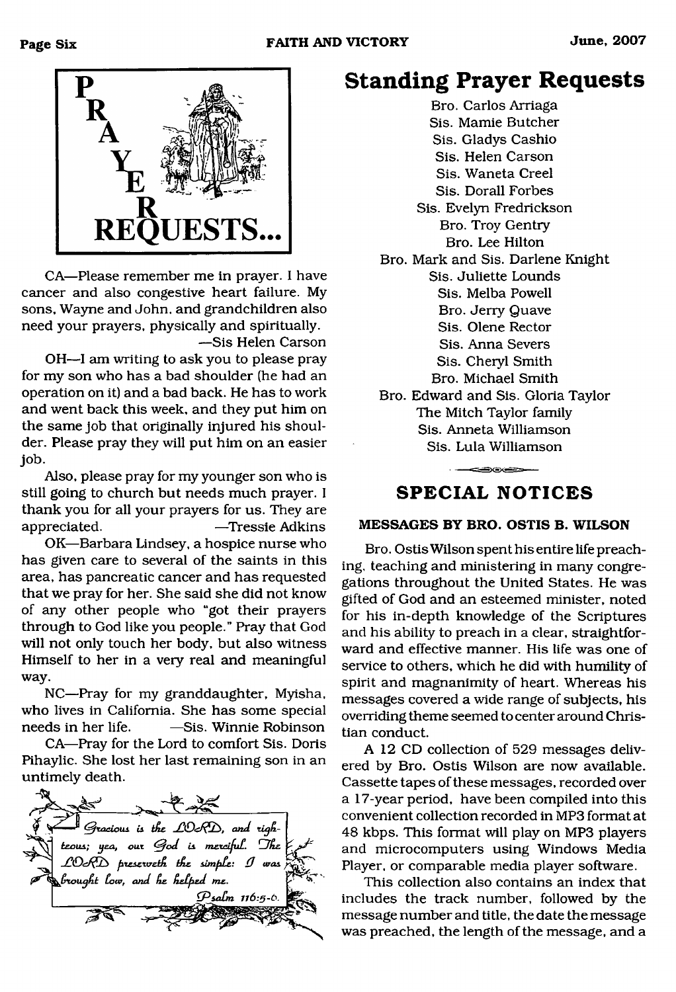

CA—Please remember me in prayer. I have cancer and also congestive heart failure. My sons, Wayne and John, and grandchildren also need your prayers, physically and spiritually. —Sis Helen Carson

OH—I am writing to ask you to please pray for my son who has a bad shoulder (he had an operation on it) and a bad back. He has to work and went back this week, and they put him on the same job that originally injured his shoulder. Please pray they will put him on an easier job.

Also, please pray for my younger son who is still going to church but needs much prayer. I thank you for all your prayers for us. They are appreciated. —Tressie Adkins

OK—Barbara Lindsey, a hospice nurse who has given care to several of the saints in this area, has pancreatic cancer and has requested that we pray for her. She said she did not know of any other people who "got their prayers through to God like you people." Pray that God will not only touch her body, but also witness Himself to her in a very real and meaningful way.

NC—Pray for my granddaughter, Myisha, who lives in California. She has some special needs in her life. — Sis. Winnie Robinson

CA—Pray for the Lord to comfort Sis. Doris Pihaylic. She lost her last remaining son in an untimely death.

 $\rightarrow$ Gracious is the LOKD, and righ*teous; yea, our God is merciful. The* **\** 4 *fitesew elC . iA e sim fiCs: dJ was cought low, and he helped me. dPsadm 116 :5 -6*

## **Standing Prayer Requests**

Bro. Carlos Arriaga Sis. Mamie Butcher Sis. Gladys Cashio Sis. Helen Carson Sis. Waneta Creel Sis. Dorall Forbes Sis. Evelyn Fredrickson Bro. Troy Gentry Bro. Lee Hilton Bro. Mark and Sis. Darlene Knight Sis. Juliette Lounds Sis. Melba Powell Bro. Jerry Quave Sis. Olene Rector Sis. Anna Severs Sis. Cheryl Smith Bro. Michael Smith Bro. Edward and Sis. Gloria Taylor The Mitch Taylor family Sis. Anneta Williamson Sis. Lula Williamson

### **SPEC IAL NOTICES**

والمتعادلات والمستنب

#### **MESSAGES BY BRO. OSTIS B. WILSON**

Bro. Ostis Wilson spent his entire life preaching, teaching and ministering in many congregations throughout the United States. He was gifted of God and an esteemed minister, noted for his in-depth knowledge of the Scriptures and his ability to preach in a clear, straightforward and effective manner. His life was one of service to others, which he did with humility of spirit and magnanimity of heart. Whereas his messages covered a wide range of subjects, his overriding theme seemed to center around Christian conduct.

A 12 CD collection of 529 messages delivered by Bro. Ostis Wilson are now available. Cassette tapes of these messages, recorded over a 17-year period, have been compiled into this convenient collection recorded in MP3 format at 48 kbps. This format will play on MP3 players and microcomputers using Windows Media Player, or comparable media player software.

This collection also contains an index that includes the track number, followed by the message number and title, the date the message was preached, the length of the message, and a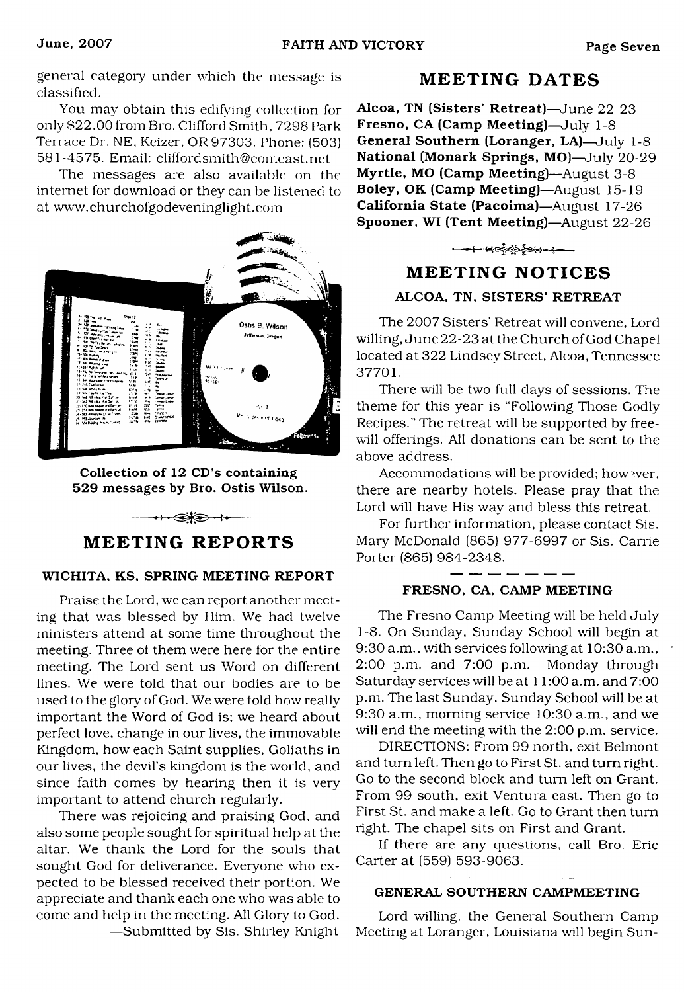general category under which the message is classified.

You may obtain this edifying collection for only \$22.00 from Bro. Clifford Smith. 7298 Park Terrace Dr. NE. Keizer, OR97303. Phone: (503) 581-4575. Email: [cliffordsmith@comcast.net](mailto:cliffordsmith@comcast.net)

The messages are also available on the internet for download or they can be listened to at [www.churchofgodeveninglight.com](http://www.churchofgodeveninglight.com)



Collection of 12 CD's containing 529 messages by Bro. Ostis Wilson.

#### **MEETING REPORTS**

 $-++$  $-$ 

#### WICHITA, KS, SPRING MEETING REPORT

Praise the Lord, we can report another meeting that was blessed by Him. We had twelve ministers attend at some time throughout the meeting. Three of them were here for the entire meeting. The Lord sent us Word on different lines. We were told that our bodies are to be used to the glory of God. We were told how really important the Word of God is; we heard about perfect love, change in our lives, the immovable Kingdom, how each Saint supplies. Goliaths in our lives, the devil's kingdom is the world, and since faith comes by hearing then it is very important to attend church regularly.

There was rejoicing and praising God, and also some people sought for spiritual help at the altar. We thank the Lord for the souls that sought God for deliverance. Everyone who expected to be blessed received their portion. We appreciate and thank each one who was able to come and help in the meeting. All Glory to God.

**MEETING DATES**

Alcoa, TN (Sisters' Retreat)—June 22-23 Fresno, CA (Camp Meeting)—July 1-8 General Southern (Loranger, LA)—July 1-8 National (Monark Springs, MO)—July 20-29 Myrtle, MO (Camp Meeting)—August 3-8 Boley, OK (Camp Meeting)—August 15-19 California State (Pacoima)—August 17-26 Spooner, WI (Tent Meeting)—August 22-26

## **MEETING NOTICES**

#### ALCOA, TN, SISTERS' RETREAT

The 2007 Sisters' Retreat will convene, Lord willing, June 22-23 at the Church of God Chapel located at 322 Lindsey Street, Alcoa, Tennessee 37701.

There will be two full days of sessions. The theme for this year is "Following Those Godly Recipes." The retreat will be supported by freewill offerings. All donations can be sent to the above address.

Accommodations will be provided; how ever, there are nearby hotels. Please pray that the Lord will have His way and bless this retreat.

For further information, please contact Sis. Mary McDonald (865) 977-6997 or Sis. Carrie Porter (865) 984-2348.

#### FRESNO, CA, CAMP MEETING

The Fresno Camp Meeting will be held July 1-8. On Sunday, Sunday School will begin at 9:30 a.m., with services following at 10:30 a.m., 2:00 p.m. and 7:00 p.m. Monday through Saturday services will be at 11:00 a.m. and 7:00 p.m. The last Sunday, Sunday School will be at 9:30 a.m., morning service 10:30 a.m., and we will end the meeting with the 2:00 p.m. service.

DIRECTIONS: From 99 north, exit Belmont and turn left. Then go to First St. and turn right. Go to the second block and turn left on Grant. From 99 south, exit Ventura east. Then go to First St. and make a left. Go to Grant then turn right. The chapel sits on First and Grant.

If there are any questions, call Bro. Eric Carter at (559) 593-9063.

#### GENERAL SOUTHERN CAMPMEETING

Lord willing, the General Southern Camp Meeting at Loranger, Louisiana will begin Sun

—Submitted by Sis. Shirley Knight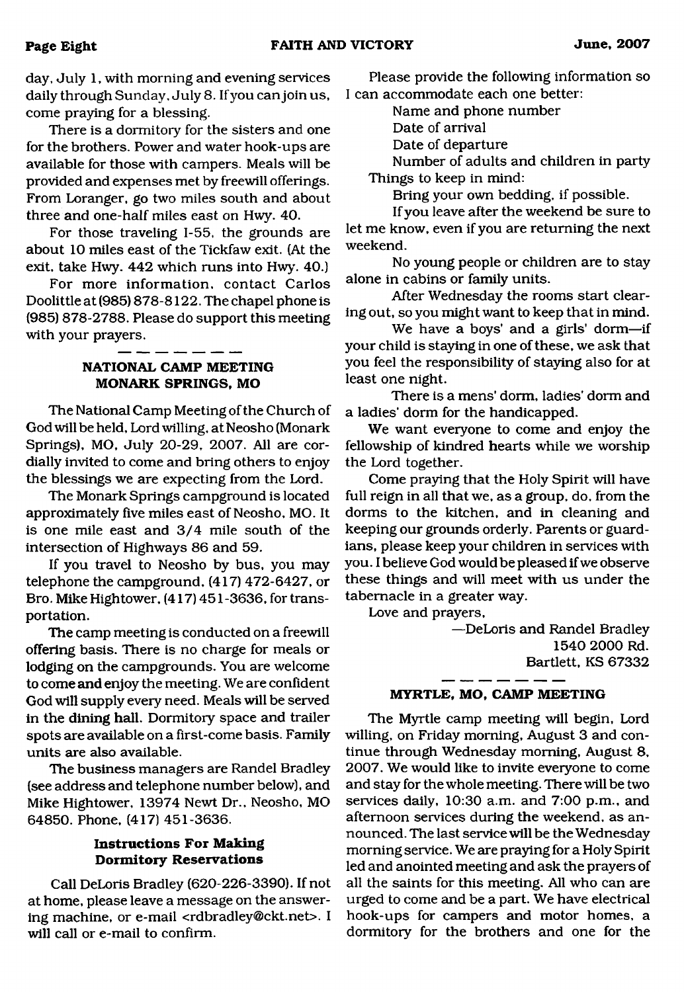day, July 1, with morning and evening services daily through Sunday. July 8. If you can join us, come praying for a blessing.

There is a dormitory for the sisters and one for the brothers. Power and water hook-ups are available for those with campers. Meals will be provided and expenses met by freewill offerings. From Loranger, go two miles south and about three and one-half miles east on Hwy. 40.

For those traveling 1-55, the grounds are about 10 miles east of the Tickfaw exit. (At the exit, take Hwy. 442 which runs into Hwy. 40.)

For more information, contact Carlos Doolittle at (985) 878-8122. The chapel phone is (985) 878-2788. Please do support this meeting with your prayers.

#### **NATIONAL CAMP MEETING MONARK SPRINGS, MO**

The National Camp Meeting of the Church of God will be held, Lord willing, at Neosho (Monark Springs), MO, July 20-29, 2007. All are cordially invited to come and bring others to enjoy the blessings we are expecting from the Lord.

The Monark Springs campground is located approximately five miles east of Neosho, MO. It is one mile east and 3/4 mile south of the intersection of Highways 86 and 59.

If you travel to Neosho by bus, you may telephone the campground. (417) 472-6427, or Bro. Mike Hightower, (417) 451 -3636, for transportation.

The camp meeting is conducted on a freewill offering basis. There is no charge for meals or lodging on the campgrounds. You are welcome to come and enjoy the meeting. We are confident God will supply every need. Meals will be served in the dining hall. Dormitory space and trailer spots are available on a first-come basis. Family units are also available.

The business managers are Randel Bradley (see address and telephone number below), and Mike Hightower, 13974 Newt Dr., Neosho, MO 64850. Phone, (417) 451-3636.

#### **Instructions For Making Dormitory Reservations**

Call DeLoris Bradley (620-226-3390). If not at home, please leave a message on the answering machine, or e-mail [<rdbradley@ckt.net](mailto:rdbradley@ckt.net)>. I will call or e-mail to confirm.

Please provide the following information so I can accommodate each one better:

Name and phone number

Date of arrival

Date of departure

Number of adults and children in party Things to keep in mind:

Bring your own bedding, if possible.

If you leave after the weekend be sure to let me know, even if you are returning the next weekend.

No young people or children are to stay alone in cabins or family units.

After Wednesday the rooms start clearing out, so you might want to keep that in mind.

We have a boys' and a girls' dorm—if your child is staying in one of these, we ask that you feel the responsibility of staying also for at least one night.

There is a mens' dorm, ladies' dorm and a ladies' dorm for the handicapped.

We want everyone to come and enjoy the fellowship of kindred hearts while we worship the Lord together.

Come praying that the Holy Spirit will have full reign in all that we, as a group, do, from the dorms to the kitchen, and in cleaning and keeping our grounds orderly. Parents or guardians, please keep your children in services with you. I believe God would be pleased if we observe these things and will meet with us under the tabernacle in a greater way.

Love and prayers,

—DeLoris and Randel Bradley 1540 2000 Rd. Bartlett, KS 67332

#### **MYRTLE, MO, CAMP MEETING**

The Myrtle camp meeting will begin. Lord willing, on Friday morning, August 3 and continue through Wednesday morning, August 8, 2007. We would like to invite everyone to come and stay for the whole meeting. There will be two services daily, 10:30 a.m. and 7:00 p.m., and afternoon services during the weekend, as announced. The last service will be the Wednesday morning service. We are praying for a Holy Spirit led and anointed meeting and ask the prayers of all the saints for this meeting. All who can are urged to come and be a part. We have electrical hook-ups for campers and motor homes, a dormitory for the brothers and one for the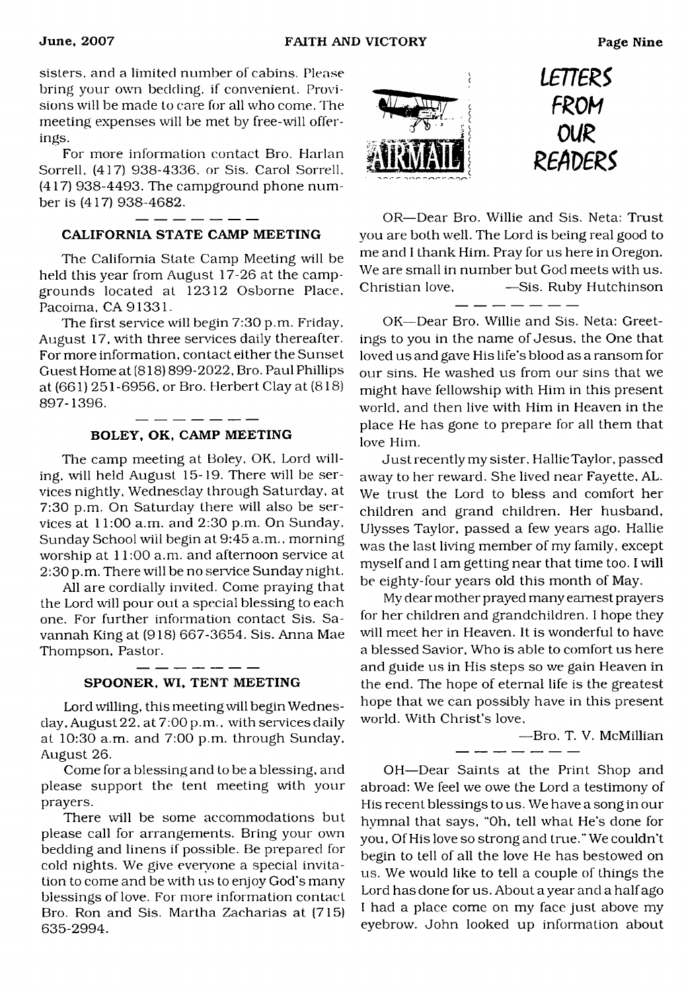sisters, and a limited number of cabins. Please bring your own bedding, if convenient. Provisions will be made to care for all who come. The meeting expenses will be met by free-will offerings.

For more information contact Bro. Harlan Sorrell. (417) 938-4336. or Sis. Carol Sorrell. (417) 938-4493. The campground phone number is (417) 938-4682.

#### $\frac{1}{2}$  and  $\frac{1}{2}$  and  $\frac{1}{2}$  and  $\frac{1}{2}$  and  $\frac{1}{2}$ CALIFORNIA STATE CAMP MEETING

The California State Camp Meeting will be held this year from August 17-26 at the campgrounds located at 12312 Osborne Place. Pacoima, CA 91331.

The first service will begin 7:30 p.m. Friday, August 17, with three services daily thereafter. For more information, contact either the Sunset Guest Home at (818) 899-2022, Bro. Paul Phillips at (661) 251-6956, or Bro. Herbert Clay at (818) 897-1396.

#### \_ \_ \_ \_ \_ \_ \_ BOLEY, OK, CAMP MEETING

The camp meeting at Boley. OK, Lord willing. will held August 15-19. There will be services nightly, Wednesday through Saturday, at 7:30 p.m. On Saturday there will also be services at 11:00 a.m. and 2:30 p.m. On Sunday, Sunday School wiil begin at 9:45 a.m., morning worship at 11:00 a.m. and afternoon service at 2:30 p.m. There will be no service Sunday night.

All are cordially invited. Come praying that the Lord will pour out a special blessing to each one. For further information contact Sis. Savannah King at (918) 667-3654. Sis. Anna Mae Thompson, Pastor.

#### SPOONER, WI, TENT MEETING

 $-$ 

Lord willing, this meeting will begin Wednesday, August 22, at 7:00 p.m.. with services daily at 10:30 a.m. and 7:00 p.m. through Sunday, August 26.

Come for a blessing and to be a blessing, and please support the tent meeting with your prayers.

There will be some accommodations but please call for arrangements. Bring your own bedding and linens if possible. Be prepared for cold nights. We give everyone a special invitation to come and be with us to enjoy God's many blessings of love. For more information contact Bro. Ron and Sis. Martha Zacharias at (715) 635-2994.



*i£rrm FROM* OUR<br>*READERS* 

OR—Dear Bro. Willie and Sis. Neta: Trust you are both well. The Lord is being real good to me and I thank Him. Pray for us here in Oregon. We are small in number but God meets with us. Christian love, - -Sis. Ruby Hutchinson ------

OK—Dear Bro. Willie and Sis. Neta: Greetings to you in the name of Jesus, the One that loved us and gave His life's blood as a ransom for our sins. He washed us from our sins that we might have fellowship with Him in this present world, and then live with Him in Heaven in the place He has gone to prepare for all them that love Him.

Just recently my sister. Hallie Taylor, passed away to her reward. She lived near Fayette, AL. We trust the Lord to bless and comfort her children and grand children. Her husband, Ulysses Taylor, passed a few years ago. Hallie was the last living member of my family, except myself and I am getting near that time too. I will be eighty-four years old this month of May.

My dear mother prayed many earnest prayers for her children and grandchildren. I hope they will meet her in Heaven. It is wonderful to have a blessed Savior, Who is able to comfort us here and guide us in His steps so we gain Heaven in the end. The hope of eternal life is the greatest hope that we can possibly have in this present world. With Christ's love,

للتواصل وبنوابيته وبيواريته وتنبو

—Bro. T. V. McMillian

OH—Dear Saints at the Print Shop and abroad: We feel we owe the Lord a testimony of His recent blessings to us. We have a song in our hymnal that says, "Oh, tell what He's done for you, Of His love so strong and true." We couldn't begin to tell of all the love He has bestowed on us. We would like to tell a couple of things the Lord has done for us. About a year and a half ago I had a place come on my face just above my eyebrow. John looked up information about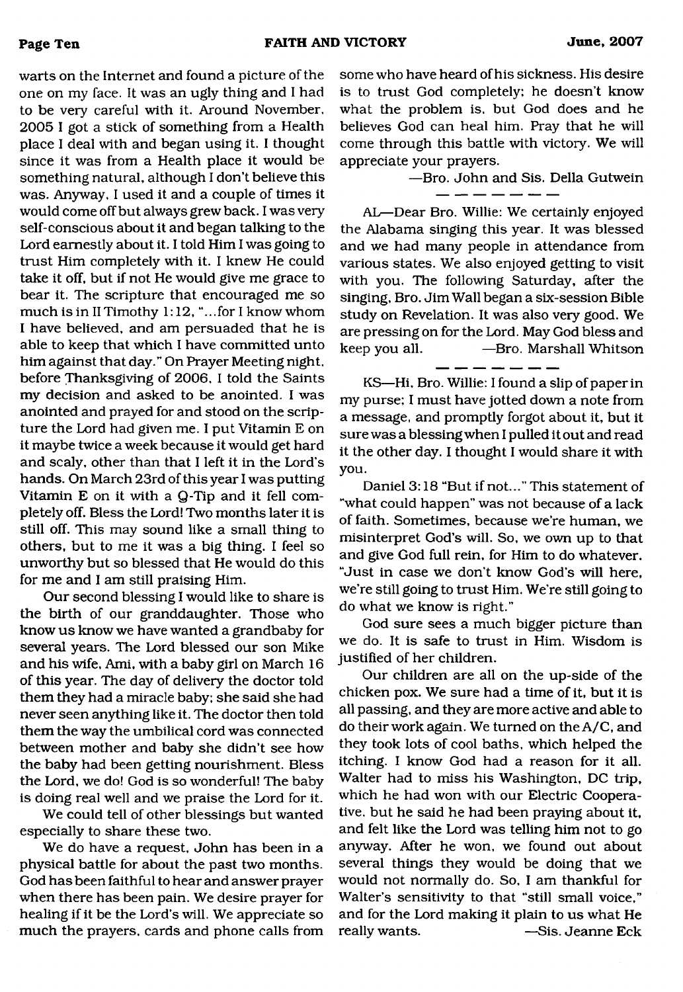warts on the Internet and found a picture of the one on my face. It was an ugly thing and I had to be very careful with it. Around November. 2005 I got a stick of something from a Health place I deal with and began using it. I thought since it was from a Health place it would be something natural, although I don't believe this was. Anyway, I used it and a couple of times it would come off but always grew back. I was very self-conscious about it and began talking to the Lord earnestly about it. I told Him I was going to trust Him completely with it. I knew He could take it off, but if not He would give me grace to bear it. The scripture that encouraged me so much is in II Timothy 1:12, "...for I know whom I have believed, and am persuaded that he is able to keep that which I have committed unto him against that day." On Prayer Meeting night, before Thanksgiving of 2006, I told the Saints my decision and asked to be anointed. I was anointed and prayed for and stood on the scripture the Lord had given me. I put Vitamin E on it maybe twice a week because it would get hard and scaly, other than that I left it in the Lord's hands. On March 23rd of this year I was putting Vitamin E on it with a Q-Tip and it fell completely off. Bless the Lord! Two months later it is still off. This may sound like a small thing to others, but to me it was a big thing. I feel so unworthy but so blessed that He would do this for me and I am still praising Him.

Our second blessing I would like to share is the birth of our granddaughter. Those who know us know we have wanted a grandbaby for several years. The Lord blessed our son Mike and his wife, Ami, with a baby girl on March 16 of this year. The day of delivery the doctor told them they had a miracle baby; she said she had never seen anything like it. The doctor then told them the way the umbilical cord was connected between mother and baby she didn't see how the baby had been getting nourishment. Bless the Lord, we do! God is so wonderful! The baby is doing real well and we praise the Lord for it.

We could tell of other blessings but wanted especially to share these two.

We do have a request, John has been in a physical battle for about the past two months. God has been faithful to hear and answer prayer when there has been pain. We desire prayer for healing if it be the Lord's will. We appreciate so much the prayers, cards and phone calls from some who have heard of his sickness. His desire is to trust God completely; he doesn't know what the problem is, but God does and he believes God can heal him. Pray that he will come through this battle with victory. We will appreciate your prayers.

—Bro. John and Sis. Della Gutwein

AL—Dear Bro. Willie: We certainly enjoyed the Alabama singing this year. It was blessed and we had many people in attendance from various states. We also enjoyed getting to visit with you. The following Saturday, after the singing, Bro. Jim Wall began a six-session Bible study on Revelation. It was also very good. We are pressing on for the Lord. May God bless and keep you all. —Bro. Marshall Whitson

KS—Hi, Bro. Willie: I found a slip of paper in my purse; I must have jotted down a note from a message, and promptly forgot about it, but it sure was a blessing when I pulled it out and read it the other day. I thought I would share it with you.

Daniel 3:18 "But if not..." This statement of "what could happen" was not because of a lack of faith. Sometimes, because we're human, we misinterpret God's will. So, we own up to that and give God full rein, for Him to do whatever. "Just in case we don't know God's will here, we're still going to trust Him. We're still going to do what we know is right."

God sure sees a much bigger picture than we do. It is safe to trust in Him. Wisdom is justified of her children.

Our children are all on the up-side of the chicken pox. We sure had a time of it, but it is all passing, and they are more active and able to do their work again. We turned on the A/C, and they took lots of cool baths, which helped the itching. I know God had a reason for it all. Walter had to miss his Washington, DC trip, which he had won with our Electric Cooperative. but he said he had been praying about it, and felt like the Lord was telling him not to go anyway. After he won, we found out about several things they would be doing that we would not normally do. So, I am thankful for Walter's sensitivity to that "still small voice," and for the Lord making it plain to us what He really wants. — Sis. Jeanne Eck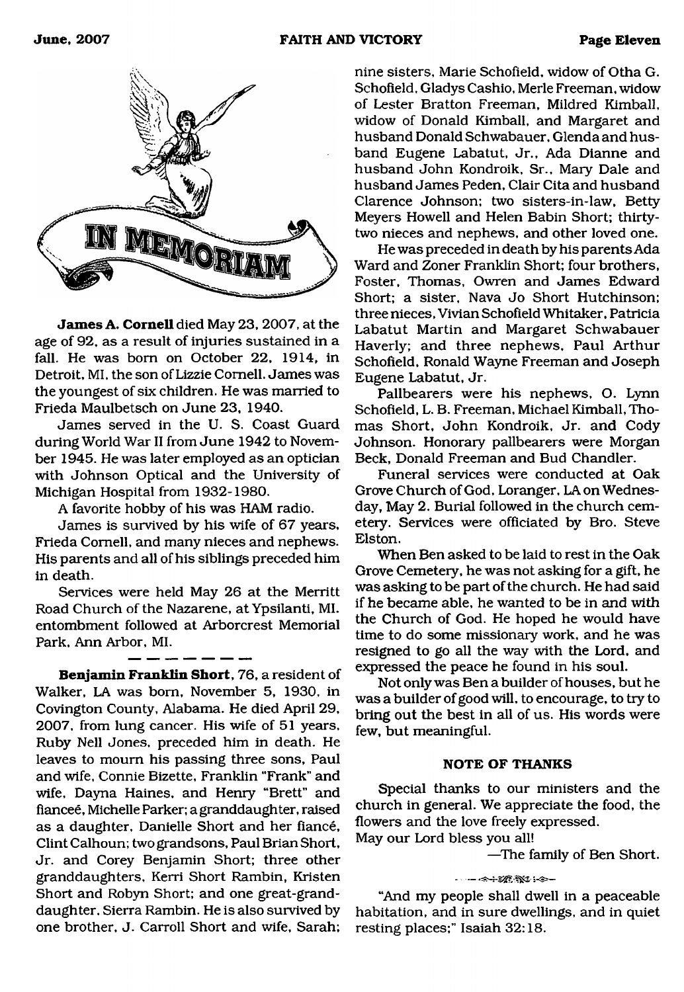

**James A. Cornell** died May 23, 2007, at the age of 92, as a result of injuries sustained in a fall. He was bom on October 22, 1914, in Detroit, MI, the son of Lizzie Cornell. James was the youngest of six children. He was married to Frieda Maulbetsch on June 23, 1940.

James served in the U. S. Coast Guard during World War II from June 1942 to November 1945. He was later employed as an optician with Johnson Optical and the University of Michigan Hospital from 1932-1980.

A favorite hobby of his was HAM radio.

James is survived by his wife of 67 years, Frieda Cornell, and many nieces and nephews. His parents and all of his siblings preceded him in death.

Services were held May 26 at the Merritt Road Church of the Nazarene, at Ypsilanti, MI. entombment followed at Arborcrest Memorial Park, Ann Arbor, MI.

**Benjamin Frank lin Short,** 76, a resident of Walker, LA was bom, November 5, 1930, in Covington County, Alabama. He died April 29, 2007, from lung cancer. His wife of 51 years, Ruby Nell Jones, preceded him in death. He leaves to mourn his passing three sons, Paul and wife, Connie Bizette, Franklin "Frank" and wife, Dayna Haines, and Henry "Brett" and fiancee, Michelle Parker; a granddaughter, raised as a daughter, Danielle Short and her fiancé, Clint Calhoun; two grandsons, Paul Brian Short, Jr. and Corey Benjamin Short; three other granddaughters, Kerri Short Rambin, Kristen Short and Robyn Short; and one great-granddaughter, Sierra Rambin. He is also survived by one brother, J. Carroll Short and wife, Sarah;

nine sisters, Marie Schofield, widow of Otha G. Schofield, Gladys Cashio, Merle Freeman, widow of Lester Bratton Freeman, Mildred Kimball, widow of Donald Kimball, and Margaret and husband Donald Schwabauer, Glenda and husband Eugene Labatut, Jr., Ada Dianne and husband John Kondroik, Sr., Mary Dale and husband James Peden, Clair Cita and husband Clarence Johnson; two sisters-in-law, Betty Meyers Howell and Helen Babin Short; thirtytwo nieces and nephews, and other loved one.

He was preceded in death by his parents Ada Ward and Zoner Franklin Short; four brothers, Foster, Thomas, Owren and James Edward Short; a sister, Nava Jo Short Hutchinson; three nieces, Vivian Schofield Whitaker, Patricia Labatut Martin and Margaret Schwabauer Haverly; and three nephews, Paul Arthur Schofield, Ronald Wayne Freeman and Joseph Eugene Labatut, Jr.

Pallbearers were his nephews, O. Lynn Schofield, L. B. Freeman, Michael Kimball, Thomas Short, John Kondroik, Jr. and Cody Johnson. Honorary pallbearers were Morgan Beck, Donald Freeman and Bud Chandler.

Funeral services were conducted at Oak Grove Church of God, Loranger, LA on Wednesday, May 2. Burial followed in the church cemetery. Services were officiated by Bro. Steve Elston.

When Ben asked to be laid to rest in the Oak Grove Cemetery, he was not asking for a gift, he was asking to be part of the church. He had said if he became able, he wanted to be in and with the Church of God. He hoped he would have time to do some missionary work, and he was resigned to go all the way with the Lord, and expressed the peace he found in his soul.

Not only was Ben a builder of houses, but he was a builder of good will, to encourage, to try to bring out the best in all of us. His words were few, but meaningful.

#### **NOTE OF THANKS**

Special thanks to our ministers and the church in general. We appreciate the food, the flowers and the love freely expressed.

May our Lord bless you all!

—The family of Ben Short.

#### 

"And my people shall dwell in a peaceable habitation, and in sure dwellings, and in quiet resting places;" Isaiah 32:18.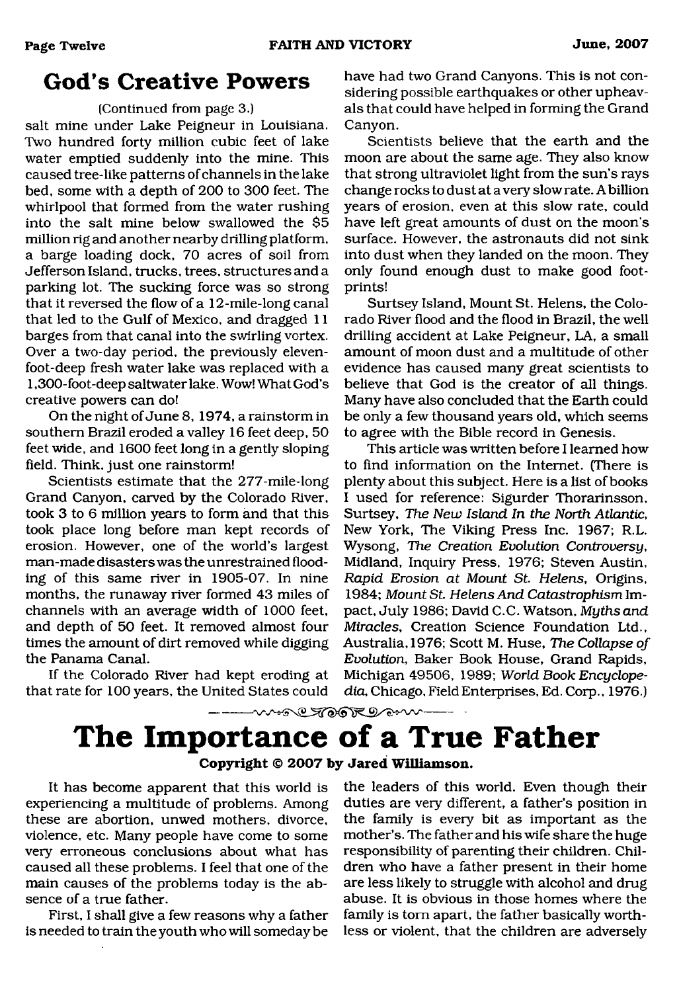## <span id="page-11-0"></span>**God's Creative Powers**

#### (Continued from page 3.)

salt mine under Lake Peigneur in Louisiana. Two hundred forty million cubic feet of lake water emptied suddenly into the mine. This caused tree-like patterns of channels in the lake bed, some with a depth of 200 to 300 feet. The whirlpool that formed from the water rushing into the salt mine below swallowed the \$5 million rig and another nearby drilling platform, a barge loading dock, 70 acres of soil from Jefferson Island, trucks, trees, structures and a parking lot. The sucking force was so strong that it reversed the flow of a 12-mile-long canal that led to the Gulf of Mexico, and dragged 11 barges from that canal into the swirling vortex. Over a two-day period, the previously elevenfoot-deep fresh water lake was replaced with a 1,300-foot-deep saltwater lake. Wow! What God's creative powers can do!

On the night of June 8, 1974, a rainstorm in southern Brazil eroded a valley 16 feet deep, 50 feet wide, and 1600 feet long in a gently sloping field. Think, just one rainstorm!

Scientists estimate that the 277-mile-long Grand Canyon, carved by the Colorado River, took 3 to 6 million years to form and that this took place long before man kept records of erosion. However, one of the world's largest man-made disasters was the unrestrained flooding of this same river in 1905-07. In nine months, the runaway river formed 43 miles of channels with an average width of 1000 feet, and depth of 50 feet. It removed almost four times the amount of dirt removed while digging the Panama Canal.

If the Colorado River had kept eroding at that rate for 100 years, the United States could

have had two Grand Canyons. This is not considering possible earthquakes or other upheavals that could have helped in forming the Grand Canyon.

Scientists believe that the earth and the moon are about the same age. They also know that strong ultraviolet light from the sun's rays change rocks to dust at a very slowrate. Abillion years of erosion, even at this slow rate, could have left great amounts of dust on the moon's surface. However, the astronauts did not sink into dust when they landed on the moon. They only found enough dust to make good footprints!

Surtsey Island, Mount St. Helens, the Colorado River flood and the flood in Brazil, the well drilling accident at Lake Peigneur, LA, a small amount of moon dust and a multitude of other evidence has caused many great scientists to believe that God is the creator of all things. Many have also concluded that the Earth could be only a few thousand years old, which seems to agree with the Bible record in Genesis.

This article was written before I learned how to find information on the Internet. (There is plenty about this subject. Here is a list of books I used for reference: Sigurder Thorarinsson, Surtsey, *The New Island In the North Atlantic,* New York, The Viking Press Inc. 1967; R.L. Wysong, *The Creation Evolution Controversy,* Midland, Inquiry Press, 1976; Steven Austin, *Rapid Erosion at Mount S t Helens,* Origins, 1984; Mount St. Helens And Catastrophism Impact, July 1986; David C.C. Watson, *Myths and Miracles,* Creation Science Foundation Ltd., Australia, 1976; Scott M. Huse, *The Collapse of Evolution,* Baker Book House, Grand Rapids, Michigan 49506, 1989; *World Book Encyclopedia,* Chicago, Field Enterprises, Ed. Corp., 1976.)

## ---- ~~~ @ TOOK @ ~~~ **The Importance of a True Father**

**Copyright © 2007 by Jared Williamson.**

It has become apparent that this world is experiencing a multitude of problems. Among these are abortion, unwed mothers, divorce, violence, etc. Many people have come to some very erroneous conclusions about what has caused all these problems. I feel that one of the main causes of the problems today is the absence of a true father.

First, I shall give a few reasons why a father is needed to train the youth who will someday be the leaders of this world. Even though their duties are very different, a father's position in the family is every bit as important as the mother's. The father and his wife share the huge responsibility of parenting their children. Children who have a father present in their home are less likely to struggle with alcohol and drug abuse. It is obvious in those homes where the family is tom apart, the father basically worthless or violent, that the children are adversely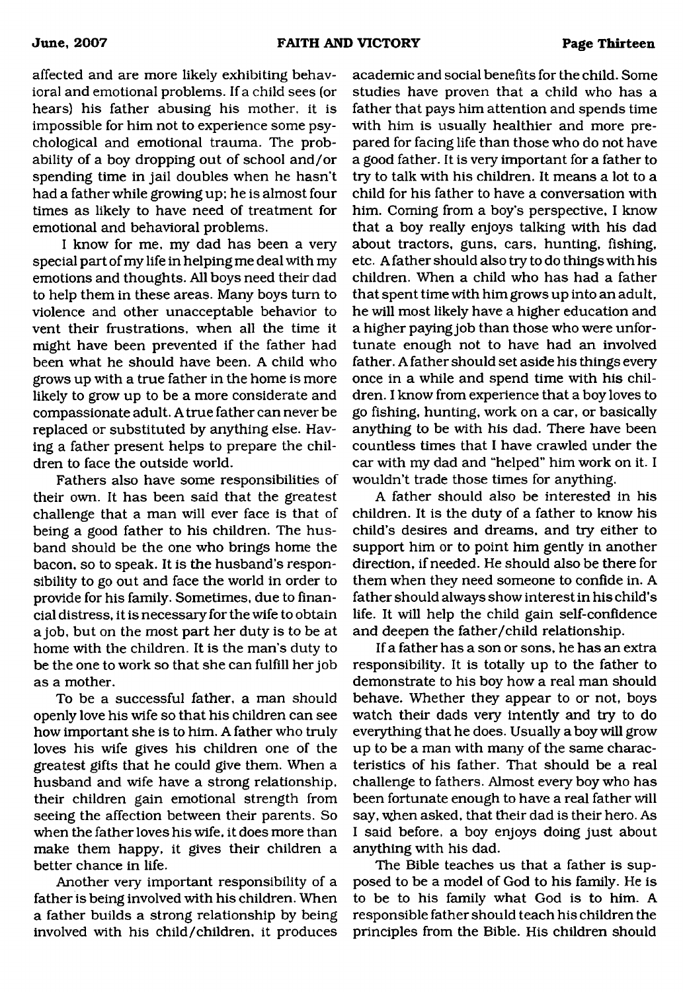affected and are more likely exhibiting behavioral and emotional problems. If a child sees (or hears) his father abusing his mother, it is impossible for him not to experience some psychological and emotional trauma. The probability of a boy dropping out of school and/or spending time in jail doubles when he hasn't had a father while growing up; he is almost four times as likely to have need of treatment for emotional and behavioral problems.

I know for me, my dad has been a very special part of my life in helping me deal with my emotions and thoughts. All boys need their dad to help them in these areas. Many boys turn to violence and other unacceptable behavior to vent their frustrations, when all the time it might have been prevented if the father had been what he should have been. A child who grows up with a true father in the home is more likely to grow up to be a more considerate and compassionate adult. A true father can never be replaced or substituted by anything else. Having a father present helps to prepare the children to face the outside world.

Fathers also have some responsibilities of their own. It has been said that the greatest challenge that a man will ever face is that of being a good father to his children. The husband should be the one who brings home the bacon, so to speak. It is the husband's responsibility to go out and face the world in order to provide for his family. Sometimes, due to financial distress, it is necessary for the wife to obtain a job, but on the most part her duty is to be at home with the children. It is the man's duty to be the one to work so that she can fulfill her job as a mother.

To be a successful father, a man should openly love his wife so that his children can see how important she is to him. A father who truly loves his wife gives his children one of the greatest gifts that he could give them. When a husband and wife have a strong relationship, their children gain emotional strength from seeing the affection between their parents. So when the father loves his wife, it does more than make them happy, it gives their children a better chance in life.

Another very important responsibility of a father is being involved with his children. When a father builds a strong relationship by being involved with his child/children, it produces

academic and social benefits for the child. Some studies have proven that a child who has a father that pays him attention and spends time with him is usually healthier and more prepared for facing life than those who do not have a good father. It is very important for a father to try to talk with his children. It means a lot to a child for his father to have a conversation with him. Coming from a boy's perspective, I know that a boy really enjoys talking with his dad about tractors, guns, cars, hunting, fishing, etc. A father should also try to do things with his children. When a child who has had a father that spent time with him grows up into an adult, he will most likely have a higher education and a higher paying job than those who were unfortunate enough not to have had an involved father. A father should set aside his things every once in a while and spend time with his children. I know from experience that a boy loves to go fishing, hunting, work on a car, or basically anything to be with his dad. There have been countless times that I have crawled under the car with my dad and "helped" him work on it. I wouldn't trade those times for anything.

A father should also be interested in his children. It is the duty of a father to know his child's desires and dreams, and try either to support him or to point him gently in another direction, if needed. He should also be there for them when they need someone to confide in. A father should always show interest in his child's life. It will help the child gain self-confidence and deepen the father/child relationship.

If a father has a son or sons, he has an extra responsibility. It is totally up to the father to demonstrate to his boy how a real man should behave. Whether they appear to or not, boys watch their dads very intently and try to do everything that he does. Usually a boy will grow up to be a man with many of the same characteristics of his father. That should be a real challenge to fathers. Almost every boy who has been fortunate enough to have a real father will say, when asked, that their dad is their hero. As I said before, a boy enjoys doing just about anything with his dad.

The Bible teaches us that a father is supposed to be a model of God to his family. He is to be to his family what God is to him. A responsible father should teach his children the principles from the Bible. His children should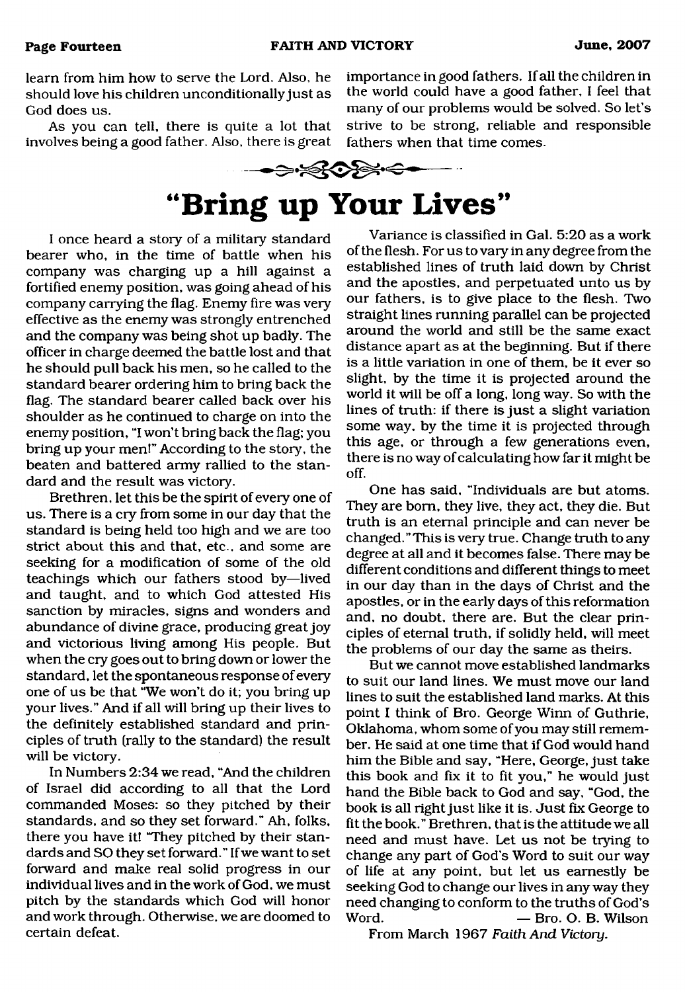learn from him how to serve the Lord. Also, he should love his children unconditionally just as God does us.

As you can tell, there is quite a lot that involves being a good father. Also, there is great



# **"Bring up Your Lives"**

I once heard a story of a military standard bearer who, in the time of battle when his company was charging up a hill against a fortified enemy position, was going ahead of his company carrying the flag. Enemy fire was very effective as the enemy was strongly entrenched and the company was being shot up badly. The officer in charge deemed the battle lost and that he should pull back his men, so he called to the standard bearer ordering him to bring back the flag. The standard bearer called back over his shoulder as he continued to charge on into the enemy position, "I won't bring back the flag; you bring up your men!" According to the story, the beaten and battered army rallied to the standard and the result was victory.

Brethren, let this be the spirit of every one of us. There is a cry from some in our day that the standard is being held too high and we are too strict about this and that, etc., and some are seeking for a modification of some of the old teachings which our fathers stood by—lived and taught, and to which God attested His sanction by miracles, signs and wonders and abundance of divine grace, producing great joy and victorious living among His people. But when the cry goes out to bring down or lower the standard, let the spontaneous response of every one of us be that "We won't do it; you bring up your lives." And if all will bring up their lives to the definitely established standard and principles of truth (rally to the standard) the result will be victory.

In Numbers 2:34 we read, "And the children of Israel did according to all that the Lord commanded Moses: so they pitched by their standards, and so they set forward." Ah, folks, there you have it! "They pitched by their standards and SO they set forward." If we want to set forward and make real solid progress in our individual lives and in the work of God. we must pitch by the standards which God will honor and work through. Otherwise, we are doomed to certain defeat.

Variance is classified in Gal. 5:20 as a work of the flesh. For us to vary in any degree from the established lines of truth laid down by Christ and the apostles, and perpetuated unto us by our fathers, is to give place to the flesh. Two straight lines running parallel can be projected around the world and still be the same exact distance apart as at the beginning. But if there is a little variation in one of them, be it ever so slight, by the time it is projected around the world it will be off a long, long way. So with the lines of truth: if there is just a slight variation some way, by the time it is projected through this age, or through a few generations even, there is no way of calculating how far it might be off.

importance in good fathers. If all the children in the world could have a good father, I feel that many of our problems would be solved. So let's strive to be strong, reliable and responsible

One has said, "Individuals are but atoms. They are bom, they live, they act, they die. But truth is an eternal principle and can never be changed.''This is very true. Change truth to any degree at all and it becomes false. There may be different conditions and different things to meet in our day than in the days of Christ and the apostles, or in the early days of this reformation and, no doubt, there are. But the clear principles of eternal truth, if solidly held, will meet the problems of our day the same as theirs.

But we cannot move established landmarks to suit our land lines. We must move our land lines to suit the established land marks. At this point I think of Bro. George Winn of Guthrie, Oklahoma, whom some of you may still remember. He said at one time that if God would hand him the Bible and say, "Here, George, just take this book and fix it to fit you," he would just hand the Bible back to God and say, "God, the book is all right just like it is. Just fix George to fit the book." Brethren, that is the attitude we all need and must have. Let us not be trying to change any part of God's Word to suit our way of life at any point, but let us earnestly be seeking God to change our lives in any way they need changing to conform to the truths of God's Word. — Bro. O. B. Wilson

From March 1967 *Faith And Victory.*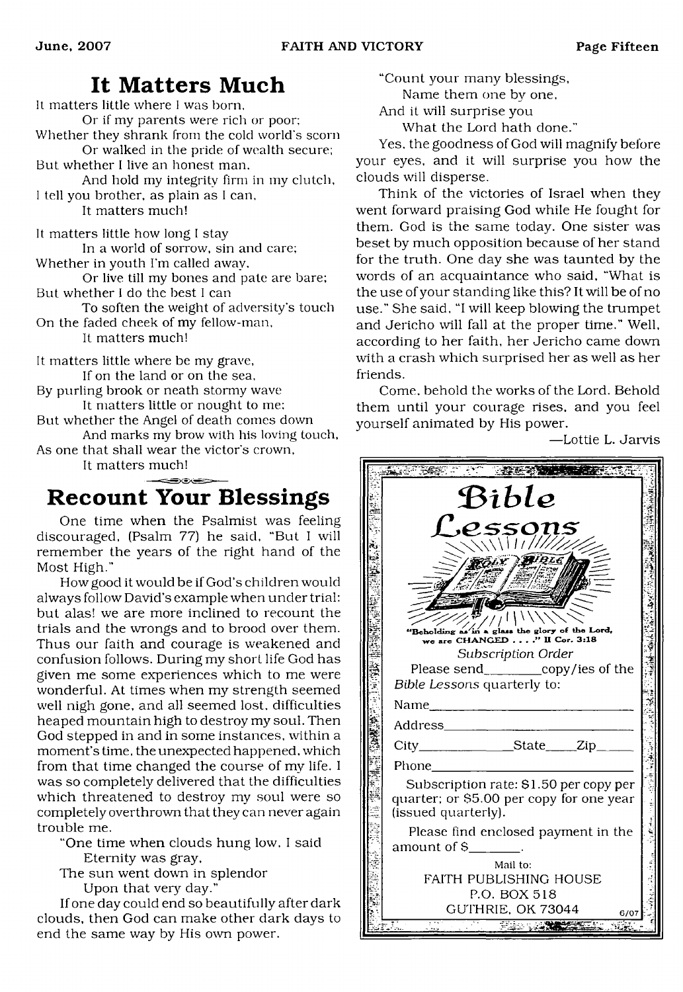## **It Matters Much**

<span id="page-14-0"></span>It matters little where I was born. Or if my parents were rich or poor; Whether they shrank from the cold world's scorn Or walked in the pride of wealth secure; But whether I live an honest man. And hold my integrity firm in my clutch, I tell you brother, as plain as I can, It matters much! It matters little how long I stay

In a world of sorrow, sin and care; Whether in youth I'm called away.

Or live till my bones and pate are bare; But whether I do the best I can

To soften the weight of adversity's touch On the faded cheek of my fellow-man,

It matters much!

It matters little where be my grave, If on the land or on the sea,

By purling brook or neath stormy wave It matters little or nought to me;

But whether the Angel of death comes down And marks my brow with his loving touch,

As one that shall wear the victor's crown,

It matters much!

## <span id="page-14-1"></span>**Recount Your Blessings**

One time when the Psalmist was feeling discouraged, (Psalm 77) he said, "But I will remember the years of the right hand of the Most High."

How good it would be if God's children would always follow David's example when under trial: but alas! we are more inclined to recount the trials and the wrongs and to brood over them. Thus our faith and courage is weakened and confusion follows. During my short life God has given me some experiences which to me were wonderful. At times when my strength seemed well nigh gone, and all seemed lost, difficulties heaped mountain high to destroy my soul. Then God stepped in and in some instances, within a moment's time, the unexpected happened, which from that time changed the course of my life. I was so completely delivered that the difficulties which threatened to destroy my soul were so completely overthrown that they can never again trouble me.

"One time when clouds hung low. I said Eternity was gray.

The sun went down in splendor Upon that very day."

If one day could end so beautifully after dark clouds, then God can make other dark days to end the same way by His own power.

"Count your many blessings. Name them one by one.

And it will surprise you

What the Lord hath done."

Yes, the goodness of God will magnify before your eyes, and it will surprise you how the clouds will disperse.

Think of the victories of Israel when they went forward praising God while He fought for them. God is the same today. One sister was beset by much opposition because of her stand for the truth. One day she was taunted by the words of an acquaintance who said, "What is the use of your standing like this? It will be of no use." She said, "I will keep blowing the trumpet and Jericho will fall at the proper time." Well, according to her faith, her Jericho came down with a crash which surprised her as well as her friends.

Come, behold the works of the Lord. Behold them until your courage rises, and you feel yourself animated by His power.

—Lottie L. Jarvis

|  | Bible                                                                            |  |  |  |
|--|----------------------------------------------------------------------------------|--|--|--|
|  | .e.sson<br>$\frac{1}{\sqrt{2}}$                                                  |  |  |  |
|  |                                                                                  |  |  |  |
|  |                                                                                  |  |  |  |
|  | 'Beholding as in a glass the glory of the Lord,<br>we are CHANGED'' II Cor. 3:18 |  |  |  |
|  | Subscription Order                                                               |  |  |  |
|  | Please send___________copy/ies of the<br>Bible Lessons quarterly to:             |  |  |  |
|  |                                                                                  |  |  |  |
|  | Address<br>$\overline{\phantom{a}}$                                              |  |  |  |
|  | $City$ $\qquad \qquad$ $State$ $\qquad \qquad$ $Zip$                             |  |  |  |
|  | Phone                                                                            |  |  |  |
|  | Subscription rate: \$1.50 per copy per                                           |  |  |  |
|  | quarter; or \$5.00 per copy for one year<br>(issued quarterly).                  |  |  |  |
|  | Please find enclosed payment in the<br>amount of $S_{\_\_\_\_\_\_}$              |  |  |  |
|  | Mail to:                                                                         |  |  |  |
|  | FAITH PUBLISHING HOUSE                                                           |  |  |  |
|  | P.O. BOX 518                                                                     |  |  |  |
|  | GUTHRIE, OK 73044<br>6/07                                                        |  |  |  |
|  |                                                                                  |  |  |  |